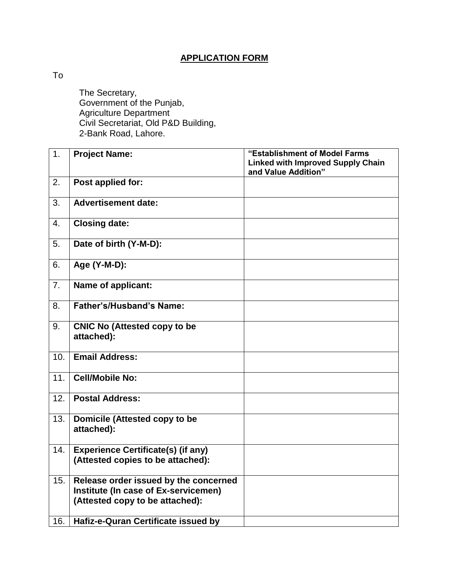## **APPLICATION FORM**

To

The Secretary, Government of the Punjab, Agriculture Department Civil Secretariat, Old P&D Building, 2-Bank Road, Lahore.

| $\overline{1}$ . | <b>Project Name:</b>                                                                                             | "Establishment of Model Farms            |
|------------------|------------------------------------------------------------------------------------------------------------------|------------------------------------------|
|                  |                                                                                                                  | <b>Linked with Improved Supply Chain</b> |
|                  |                                                                                                                  | and Value Addition"                      |
| 2.               | Post applied for:                                                                                                |                                          |
| 3.               | <b>Advertisement date:</b>                                                                                       |                                          |
| 4.               | <b>Closing date:</b>                                                                                             |                                          |
| 5.               | Date of birth (Y-M-D):                                                                                           |                                          |
| 6.               | Age (Y-M-D):                                                                                                     |                                          |
| 7.               | Name of applicant:                                                                                               |                                          |
| 8.               | <b>Father's/Husband's Name:</b>                                                                                  |                                          |
| 9.               | <b>CNIC No (Attested copy to be</b><br>attached):                                                                |                                          |
| 10.              | <b>Email Address:</b>                                                                                            |                                          |
| 11.              | <b>Cell/Mobile No:</b>                                                                                           |                                          |
| 12.              | <b>Postal Address:</b>                                                                                           |                                          |
| 13.              | Domicile (Attested copy to be<br>attached):                                                                      |                                          |
| 14.              | <b>Experience Certificate(s) (if any)</b><br>(Attested copies to be attached):                                   |                                          |
| 15.              | Release order issued by the concerned<br>Institute (In case of Ex-servicemen)<br>(Attested copy to be attached): |                                          |
| 16.              | Hafiz-e-Quran Certificate issued by                                                                              |                                          |